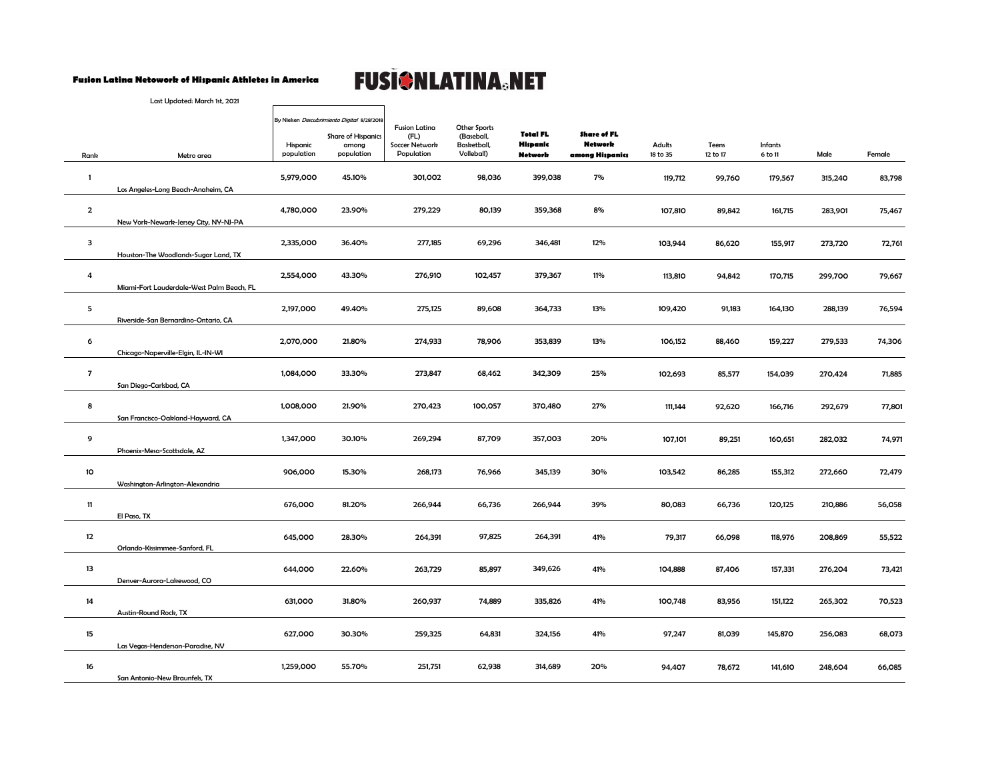## **Fusion Latina Netowork of Hispanic Athletes in America**

## **FUSIONLATINA®NET**

Last Updated: March 1st, 2021

|                         |                                           | By Nielsen Descubrimiento Digital 8/28/2018 |                                                  | <b>Fusion Latina</b>                 | Other Sports                            |                                               |                                                  |                           |                   |                           |         |        |
|-------------------------|-------------------------------------------|---------------------------------------------|--------------------------------------------------|--------------------------------------|-----------------------------------------|-----------------------------------------------|--------------------------------------------------|---------------------------|-------------------|---------------------------|---------|--------|
| Rank                    | Metro area                                | Hispanic<br>population                      | <b>Share of Hispanics</b><br>among<br>population | (FL)<br>Soccer Network<br>Population | (Baseball,<br>Basketball,<br>Volleball) | <b>Total FL</b><br>Hispanic<br><b>Network</b> | Share of FL<br><b>Network</b><br>among Hispanics | <b>Adults</b><br>18 to 35 | Teens<br>12 to 17 | <b>Infants</b><br>6 to 11 | Male    | Female |
| $\mathbf{1}$            | Los Angeles-Long Beach-Anaheim, CA        | 5,979,000                                   | 45.10%                                           | 301,002                              | 98,036                                  | 399,038                                       | 7%                                               | 119,712                   | 99,760            | 179,567                   | 315,240 | 83,798 |
| $\overline{\mathbf{2}}$ | New York-Newark-Jersey City, NY-NJ-PA     | 4,780,000                                   | 23.90%                                           | 279,229                              | 80,139                                  | 359,368                                       | 8%                                               | 107,810                   | 89,842            | 161,715                   | 283,901 | 75,467 |
| з                       | Houston-The Woodlands-Sugar Land, TX      | 2,335,000                                   | 36.40%                                           | 277,185                              | 69,296                                  | 346,481                                       | 12%                                              | 103,944                   | 86,620            | 155,917                   | 273,720 | 72,761 |
| $\overline{a}$          | Miami-Fort Lauderdale-West Palm Beach, FL | 2,554,000                                   | 43.30%                                           | 276,910                              | 102,457                                 | 379,367                                       | 11%                                              | 113,810                   | 94,842            | 170,715                   | 299,700 | 79,667 |
| 5                       | Riverside-San Bernardino-Ontario, CA      | 2,197,000                                   | 49.40%                                           | 275,125                              | 89,608                                  | 364,733                                       | 13%                                              | 109,420                   | 91,183            | 164,130                   | 288,139 | 76,594 |
| 6                       | Chicago-Naperville-Elgin, IL-IN-WI        | 2,070,000                                   | 21.80%                                           | 274,933                              | 78,906                                  | 353,839                                       | 13%                                              | 106,152                   | 88,460            | 159,227                   | 279,533 | 74,306 |
| $\overline{7}$          | San Diego-Carlsbad, CA                    | 1,084,000                                   | 33.30%                                           | 273,847                              | 68,462                                  | 342,309                                       | 25%                                              | 102,693                   | 85,577            | 154,039                   | 270,424 | 71,885 |
| 8                       | San Francisco-Oakland-Hayward, CA         | 1,008,000                                   | 21.90%                                           | 270,423                              | 100,057                                 | 370,480                                       | 27%                                              | 111,144                   | 92,620            | 166,716                   | 292,679 | 77,801 |
| 9                       | Phoenix-Mesa-Scottsdale, AZ               | 1,347,000                                   | 30.10%                                           | 269,294                              | 87,709                                  | 357,003                                       | 20%                                              | 107,101                   | 89,251            | 160,651                   | 282,032 | 74,971 |
| 10                      | Washington-Arlington-Alexandria           | 906,000                                     | 15.30%                                           | 268,173                              | 76,966                                  | 345,139                                       | 30%                                              | 103,542                   | 86,285            | 155,312                   | 272,660 | 72,479 |
| 11                      | El Paso, TX                               | 676,000                                     | 81.20%                                           | 266,944                              | 66,736                                  | 266,944                                       | 39%                                              | 80,083                    | 66,736            | 120,125                   | 210,886 | 56,058 |
| 12                      | Orlando-Kissimmee-Sanford, FL             | 645,000                                     | 28.30%                                           | 264,391                              | 97,825                                  | 264,391                                       | 41%                                              | 79,317                    | 66,098            | 118,976                   | 208,869 | 55,522 |
| 13                      | Denver-Aurora-Lakewood, CO                | 644,000                                     | 22.60%                                           | 263,729                              | 85,897                                  | 349,626                                       | 41%                                              | 104,888                   | 87,406            | 157,331                   | 276,204 | 73,421 |
| 14                      | Austin-Round Rock, TX                     | 631,000                                     | 31.80%                                           | 260,937                              | 74,889                                  | 335,826                                       | 41%                                              | 100,748                   | 83,956            | 151,122                   | 265,302 | 70,523 |
| 15                      | Las Vegas-Henderson-Paradise, NV          | 627,000                                     | 30.30%                                           | 259,325                              | 64,831                                  | 324,156                                       | 41%                                              | 97,247                    | 81,039            | 145,870                   | 256,083 | 68,073 |
| 16                      | San Antonio-New Braunfels, TX             | 1,259,000                                   | 55.70%                                           | 251,751                              | 62,938                                  | 314,689                                       | 20%                                              | 94,407                    | 78,672            | 141,610                   | 248,604 | 66,085 |